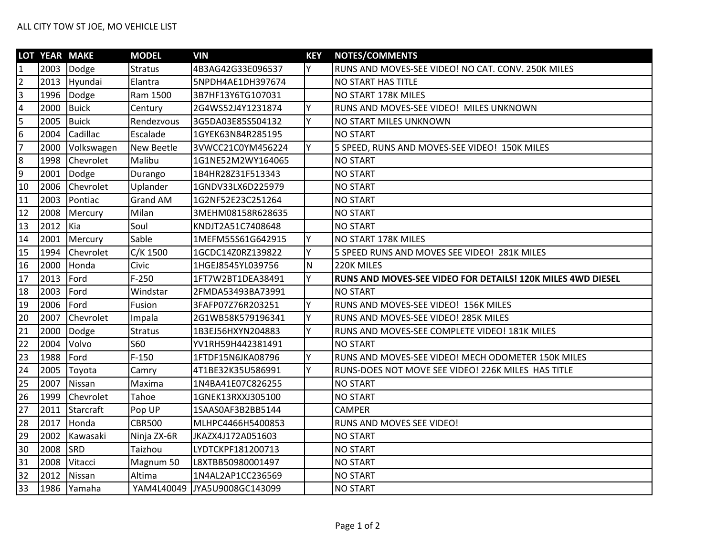|                |      | LOT YEAR MAKE | <b>MODEL</b>      | <b>VIN</b>                   | <b>KEY</b> | <b>NOTES/COMMENTS</b>                                       |
|----------------|------|---------------|-------------------|------------------------------|------------|-------------------------------------------------------------|
| $\mathbf{1}$   | 2003 | Dodge         | <b>Stratus</b>    | 4B3AG42G33E096537            | Y          | RUNS AND MOVES-SEE VIDEO! NO CAT. CONV. 250K MILES          |
| $\overline{2}$ | 2013 | Hyundai       | Elantra           | 5NPDH4AE1DH397674            |            | NO START HAS TITLE                                          |
| 3              | 1996 | Dodge         | Ram 1500          | 3B7HF13Y6TG107031            |            | NO START 178K MILES                                         |
| $\pmb{4}$      | 2000 | Buick         | Century           | 2G4WS52J4Y1231874            | Y          | RUNS AND MOVES-SEE VIDEO! MILES UNKNOWN                     |
| 5              | 2005 | <b>Buick</b>  | Rendezvous        | 3G5DA03E85S504132            | Y          | NO START MILES UNKNOWN                                      |
| 6              | 2004 | Cadillac      | Escalade          | 1GYEK63N84R285195            |            | <b>NO START</b>                                             |
| $\overline{7}$ | 2000 | Volkswagen    | <b>New Beetle</b> | 3VWCC21C0YM456224            | Y          | 5 SPEED, RUNS AND MOVES-SEE VIDEO! 150K MILES               |
| 8              | 1998 | Chevrolet     | Malibu            | 1G1NE52M2WY164065            |            | <b>NO START</b>                                             |
| 9              | 2001 | Dodge         | Durango           | 1B4HR28Z31F513343            |            | <b>NO START</b>                                             |
| 10             | 2006 | Chevrolet     | Uplander          | 1GNDV33LX6D225979            |            | <b>NO START</b>                                             |
| 11             | 2003 | Pontiac       | Grand AM          | 1G2NF52E23C251264            |            | <b>NO START</b>                                             |
| 12             | 2008 | Mercury       | Milan             | 3MEHM08158R628635            |            | <b>NO START</b>                                             |
| 13             | 2012 | Kia           | Soul              | KNDJT2A51C7408648            |            | <b>NO START</b>                                             |
| 14             | 2001 | Mercury       | Sable             | 1MEFM55S61G642915            | Y          | NO START 178K MILES                                         |
| 15             | 1994 | Chevrolet     | C/K 1500          | 1GCDC14Z0RZ139822            | Υ          | 5 SPEED RUNS AND MOVES SEE VIDEO! 281K MILES                |
| 16             | 2000 | Honda         | Civic             | 1HGEJ8545YL039756            | N          | 220K MILES                                                  |
| 17             | 2013 | Ford          | $F-250$           | 1FT7W2BT1DEA38491            | Y          | RUNS AND MOVES-SEE VIDEO FOR DETAILS! 120K MILES 4WD DIESEL |
| 18             | 2003 | Ford          | Windstar          | 2FMDA53493BA73991            |            | <b>NO START</b>                                             |
| 19             | 2006 | <b>Ford</b>   | Fusion            | 3FAFP07Z76R203251            | Y          | RUNS AND MOVES-SEE VIDEO! 156K MILES                        |
| 20             | 2007 | Chevrolet     | Impala            | 2G1WB58K579196341            | Υ          | RUNS AND MOVES-SEE VIDEO! 285K MILES                        |
| 21             | 2000 | Dodge         | <b>Stratus</b>    | 1B3EJ56HXYN204883            | Υ          | RUNS AND MOVES-SEE COMPLETE VIDEO! 181K MILES               |
| 22             | 2004 | Volvo         | <b>S60</b>        | YV1RH59H442381491            |            | <b>NO START</b>                                             |
| 23             | 1988 | Ford          | $F-150$           | 1FTDF15N6JKA08796            | Y          | RUNS AND MOVES-SEE VIDEO! MECH ODOMETER 150K MILES          |
| 24             | 2005 | Toyota        | Camry             | 4T1BE32K35U586991            | Υ          | RUNS-DOES NOT MOVE SEE VIDEO! 226K MILES HAS TITLE          |
| 25             | 2007 | Nissan        | Maxima            | 1N4BA41E07C826255            |            | <b>NO START</b>                                             |
| 26             | 1999 | Chevrolet     | Tahoe             | 1GNEK13RXXJ305100            |            | <b>NO START</b>                                             |
| 27             | 2011 | Starcraft     | Pop UP            | 1SAAS0AF3B2BB5144            |            | <b>CAMPER</b>                                               |
| 28             | 2017 | Honda         | <b>CBR500</b>     | MLHPC4466H5400853            |            | RUNS AND MOVES SEE VIDEO!                                   |
| 29             | 2002 | Kawasaki      | Ninja ZX-6R       | JKAZX4J172A051603            |            | <b>NO START</b>                                             |
| 30             | 2008 | <b>SRD</b>    | Taizhou           | LYDTCKPF181200713            |            | <b>NO START</b>                                             |
| 31             | 2008 | Vitacci       | Magnum 50         | L8XTBB50980001497            |            | <b>NO START</b>                                             |
| 32             | 2012 | Nissan        | Altima            | 1N4AL2AP1CC236569            |            | <b>NO START</b>                                             |
| 33             |      | 1986 Yamaha   |                   | YAM4L40049 JYA5U9008GC143099 |            | <b>NO START</b>                                             |